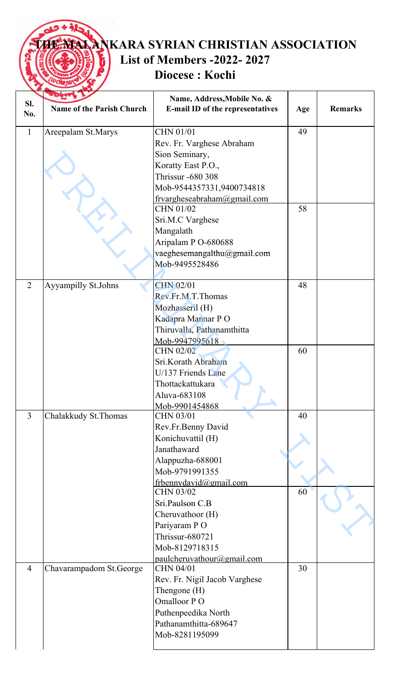## **THE MALANKARA SYRIAN CHRISTIAN ASSOCIATION List of Members -2022- 2027** ĥ **Diocese : Kochi**

|                | 136 t                            | Name, Address, Mobile No. &              |     |                |
|----------------|----------------------------------|------------------------------------------|-----|----------------|
| SI.            | <b>Name of the Parish Church</b> | E-mail ID of the representatives         | Age | <b>Remarks</b> |
| No.            |                                  |                                          |     |                |
| $\mathbf{1}$   | Areepalam St.Marys               | CHN 01/01                                | 49  |                |
|                |                                  | Rev. Fr. Varghese Abraham                |     |                |
|                |                                  |                                          |     |                |
|                |                                  | Sion Seminary,<br>Koratty East P.O.,     |     |                |
|                |                                  | <b>Thrissur -680 308</b>                 |     |                |
|                |                                  | Mob-9544357331,9400734818                |     |                |
|                |                                  |                                          |     |                |
|                |                                  | frvargheseabraham@gmail.com<br>CHN 01/02 | 58  |                |
|                |                                  | Sri.M.C Varghese                         |     |                |
|                |                                  | Mangalath                                |     |                |
|                |                                  | Aripalam P O-680688                      |     |                |
|                |                                  | vaeghesemangalthu@gmail.com              |     |                |
|                |                                  | Mob-9495528486                           |     |                |
|                |                                  |                                          |     |                |
| $\overline{2}$ | Ayyampilly St.Johns              | <b>CHN 02/01</b>                         | 48  |                |
|                |                                  | Rev.Fr.M.T.Thomas                        |     |                |
|                |                                  | Mozhasseril (H)                          |     |                |
|                |                                  | Kadapra Mannar PO                        |     |                |
|                |                                  | Thiruvalla, Pathanamthitta               |     |                |
|                |                                  | Mob-9947995618                           |     |                |
|                |                                  | <b>CHN 02/02</b>                         | 60  |                |
|                |                                  | Sri.Korath Abraham                       |     |                |
|                |                                  | U/137 Friends Lane                       |     |                |
|                |                                  | Thottackattukara                         |     |                |
|                |                                  | Aluva-683108                             |     |                |
|                |                                  | Mob-9901454868                           |     |                |
| $\overline{3}$ | Chalakkudy St. Thomas            | CHN 03/01                                | 40  |                |
|                |                                  | Rev.Fr.Benny David                       |     |                |
|                |                                  | Konichuvattil (H)                        |     |                |
|                |                                  | Janathaward                              |     |                |
|                |                                  | Alappuzha-688001                         |     |                |
|                |                                  | Mob-9791991355                           |     |                |
|                |                                  | frbennydavid@gmail.com                   |     |                |
|                |                                  | CHN 03/02<br>Sri.Paulson C.B             | 60  |                |
|                |                                  |                                          |     |                |
|                |                                  | Cheruvathoor (H)                         |     |                |
|                |                                  | Pariyaram PO<br>Thrissur-680721          |     |                |
|                |                                  | Mob-8129718315                           |     |                |
|                |                                  | paulcheruvathour@gmail.com               |     |                |
| $\overline{4}$ | Chavarampadom St. George         | CHN 04/01                                | 30  |                |
|                |                                  | Rev. Fr. Nigil Jacob Varghese            |     |                |
|                |                                  | Thengone (H)                             |     |                |
|                |                                  | Omalloor PO                              |     |                |
|                |                                  | Puthenpeedika North                      |     |                |
|                |                                  | Pathanamthitta-689647                    |     |                |
|                |                                  | Mob-8281195099                           |     |                |
|                |                                  |                                          |     |                |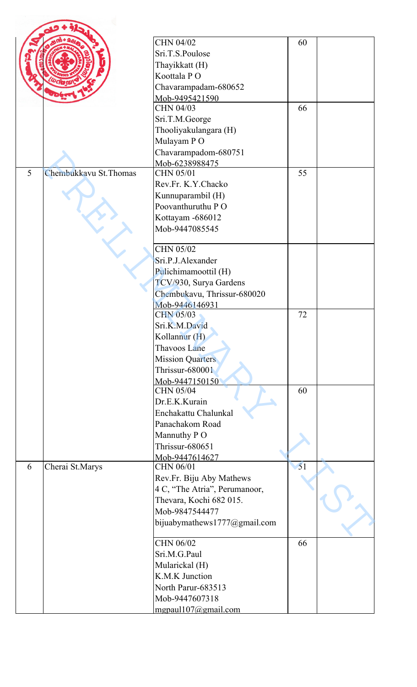|   |                        | <b>CHN 04/02</b>              | 60 |  |
|---|------------------------|-------------------------------|----|--|
|   |                        | Sri.T.S.Poulose               |    |  |
|   |                        | Thayikkatt (H)                |    |  |
|   |                        | Koottala PO                   |    |  |
|   |                        | Chavarampadam-680652          |    |  |
|   |                        | Mob-9495421590                |    |  |
|   |                        | CHN 04/03                     | 66 |  |
|   |                        | Sri.T.M.George                |    |  |
|   |                        | Thooliyakulangara (H)         |    |  |
|   |                        | Mulayam PO                    |    |  |
|   |                        | Chavarampadom-680751          |    |  |
|   |                        | Mob-6238988475                |    |  |
| 5 | Chembukkavu St. Thomas | CHN 05/01                     | 55 |  |
|   |                        | Rev.Fr. K.Y.Chacko            |    |  |
|   |                        | Kunnuparambil (H)             |    |  |
|   |                        | Poovanthuruthu PO             |    |  |
|   |                        | Kottayam -686012              |    |  |
|   |                        | Mob-9447085545                |    |  |
|   |                        |                               |    |  |
|   |                        | CHN 05/02                     |    |  |
|   |                        | Sri.P.J.Alexander             |    |  |
|   |                        | Pulichimamoottil (H)          |    |  |
|   |                        | TCV/930, Surya Gardens        |    |  |
|   |                        | Chembukavu, Thrissur-680020   |    |  |
|   |                        | Mob-9446146931                |    |  |
|   |                        | <b>CHN 05/03</b>              | 72 |  |
|   |                        | Sri.K.M.David                 |    |  |
|   |                        | Kollannur (H)                 |    |  |
|   |                        | Thavoos Lane                  |    |  |
|   |                        | <b>Mission Quarters</b>       |    |  |
|   |                        | Thrissur-680001               |    |  |
|   |                        | Mob-9447150150                |    |  |
|   |                        | CHN 05/04                     | 60 |  |
|   |                        | Dr.E.K.Kurain                 |    |  |
|   |                        | Enchakattu Chalunkal          |    |  |
|   |                        | Panachakom Road               |    |  |
|   |                        | Mannuthy PO                   |    |  |
|   |                        | Thrissur-680651               |    |  |
|   |                        | Mob-9447614627                |    |  |
| 6 | Cherai St.Marys        | CHN 06/01                     | 51 |  |
|   |                        | Rev.Fr. Biju Aby Mathews      |    |  |
|   |                        | 4 C, "The Atria", Perumanoor, |    |  |
|   |                        | Thevara, Kochi 682 015.       |    |  |
|   |                        | Mob-9847544477                |    |  |
|   |                        | bijuabymathews1777@gmail.com  |    |  |
|   |                        |                               |    |  |
|   |                        | CHN 06/02                     | 66 |  |
|   |                        | Sri.M.G.Paul                  |    |  |
|   |                        | Mularickal (H)                |    |  |
|   |                        | K.M.K Junction                |    |  |
|   |                        | North Parur-683513            |    |  |
|   |                        | Mob-9447607318                |    |  |
|   |                        | mgpaul 107@gmail.com          |    |  |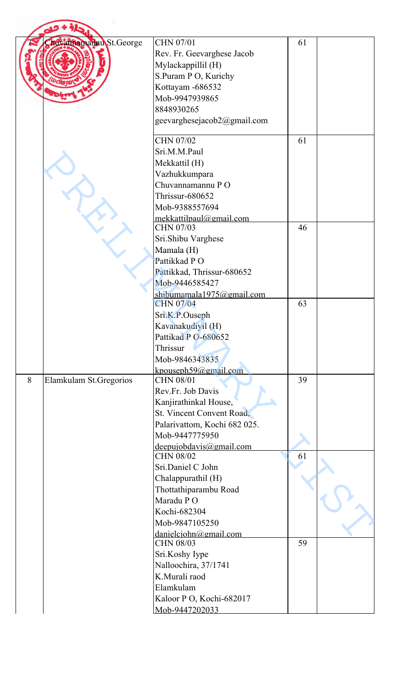|   | Auvannamannu St.George | CHN 07/01<br>Rev. Fr. Geevarghese Jacob<br>Mylackappillil (H)<br>S.Puram P O, Kurichy<br>Kottayam -686532                                                             | 61 |  |
|---|------------------------|-----------------------------------------------------------------------------------------------------------------------------------------------------------------------|----|--|
|   |                        | Mob-9947939865<br>8848930265<br>geevarghesejacob2@gmail.com                                                                                                           |    |  |
|   |                        | <b>CHN 07/02</b><br>Sri.M.M.Paul<br>Mekkattil (H)<br>Vazhukkumpara<br>Chuvannamannu PO<br>Thrissur-680652<br>Mob-9388557694                                           | 61 |  |
|   |                        | mekkattilpaul@gmail.com<br>CHN 07/03<br>Sri.Shibu Varghese<br>Mamala (H)<br>Pattikkad PO<br>Pattikkad, Thrissur-680652<br>Mob-9446585427<br>shibumamala1975@gmail.com | 46 |  |
|   |                        | <b>CHN 07/04</b><br>Sri.K.P.Ouseph<br>Kavanakudiyil (H)<br>Pattikad P O-680652<br>Thrissur<br>Mob-9846343835<br>$k$ pouseph $59$ @gmail.com                           | 63 |  |
| 8 | Elamkulam St.Gregorios | <b>CHN 08/01</b><br>Rev.Fr. Job Davis<br>Kanjirathinkal House,<br>St. Vincent Convent Road,<br>Palarivattom, Kochi 682 025.<br>Mob-9447775950                         | 39 |  |
|   |                        | deepujobdavis@gmail.com<br>CHN 08/02<br>Sri.Daniel C John<br>Chalappurathil (H)<br>Thottathiparambu Road<br>Maradu PO                                                 | 61 |  |
|   |                        | Kochi-682304<br>Mob-9847105250<br>danielciohn@gmail.com<br><b>CHN 08/03</b><br>Sri.Koshy Iype                                                                         | 59 |  |
|   |                        | Nalloochira, 37/1741<br>K.Murali raod<br>Elamkulam<br>Kaloor P O, Kochi-682017<br>Mob-9447202033                                                                      |    |  |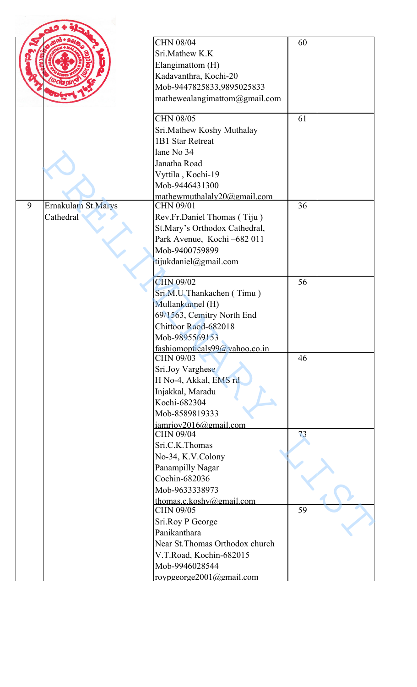| <b>CHN 08/04</b><br>60<br>Sri.Mathew K.K<br>Elangimattom (H)<br>Kadavanthra, Kochi-20<br>Mob-9447825833,9895025833<br>mathewealangimattom@gmail.com<br>CHN 08/05<br>61<br>Sri.Mathew Koshy Muthalay<br>1B1 Star Retreat<br>lane No 34<br>Janatha Road<br>Vyttila, Kochi-19<br>Mob-9446431300<br>mathewmuthalaly20@gmail.com<br>Ernakulam St.Marys<br>9<br>CHN 09/01<br>36<br>Cathedral<br>Rev.Fr.Daniel Thomas (Tiju)<br>St.Mary's Orthodox Cathedral,<br>Park Avenue, Kochi -682 011<br>Mob-9400759899<br>tijukdaniel@gmail.com<br>CHN 09/02<br>56<br>Sri.M.U.Thankachen (Timu)<br>Mullankunnel (H)<br>69/1563, Cemitry North End<br>Chittoor Raod-682018<br>Mob-9895569153<br>fashiomopticals99@yahoo.co.in<br>CHN 09/03<br>46<br>Sri.Joy Varghese<br>H No-4, Akkal, EMS rd<br>Injakkal, Maradu<br>Kochi-682304<br>Mob-8589819333<br>iamriov2016@gmail.com<br>CHN 09/04<br>73<br>Sri.C.K.Thomas<br>No-34, K.V.Colony<br>Panampilly Nagar<br>Cochin-682036<br>Mob-9633338973<br>thomas.c.koshy@gmail.com<br>CHN 09/05<br>59<br>Sri.Roy P George<br>Panikanthara<br>Near St. Thomas Orthodox church<br>V.T.Road, Kochin-682015 |  |                |  |
|--------------------------------------------------------------------------------------------------------------------------------------------------------------------------------------------------------------------------------------------------------------------------------------------------------------------------------------------------------------------------------------------------------------------------------------------------------------------------------------------------------------------------------------------------------------------------------------------------------------------------------------------------------------------------------------------------------------------------------------------------------------------------------------------------------------------------------------------------------------------------------------------------------------------------------------------------------------------------------------------------------------------------------------------------------------------------------------------------------------------------------|--|----------------|--|
|                                                                                                                                                                                                                                                                                                                                                                                                                                                                                                                                                                                                                                                                                                                                                                                                                                                                                                                                                                                                                                                                                                                                |  |                |  |
|                                                                                                                                                                                                                                                                                                                                                                                                                                                                                                                                                                                                                                                                                                                                                                                                                                                                                                                                                                                                                                                                                                                                |  |                |  |
|                                                                                                                                                                                                                                                                                                                                                                                                                                                                                                                                                                                                                                                                                                                                                                                                                                                                                                                                                                                                                                                                                                                                |  |                |  |
|                                                                                                                                                                                                                                                                                                                                                                                                                                                                                                                                                                                                                                                                                                                                                                                                                                                                                                                                                                                                                                                                                                                                |  |                |  |
|                                                                                                                                                                                                                                                                                                                                                                                                                                                                                                                                                                                                                                                                                                                                                                                                                                                                                                                                                                                                                                                                                                                                |  |                |  |
|                                                                                                                                                                                                                                                                                                                                                                                                                                                                                                                                                                                                                                                                                                                                                                                                                                                                                                                                                                                                                                                                                                                                |  |                |  |
| roypgeorge2001@gmail.com                                                                                                                                                                                                                                                                                                                                                                                                                                                                                                                                                                                                                                                                                                                                                                                                                                                                                                                                                                                                                                                                                                       |  | Mob-9946028544 |  |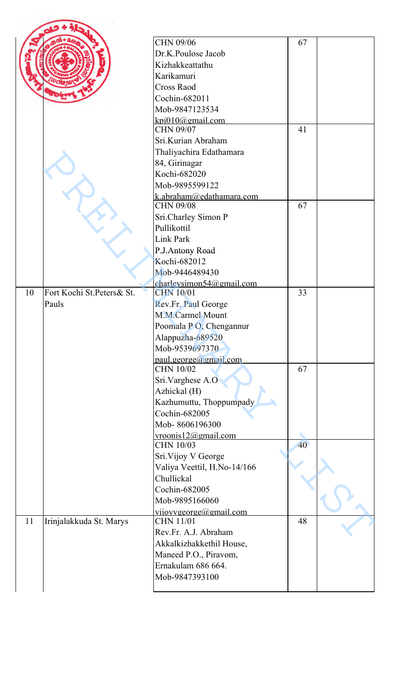|    |                           | CHN 09/06                               | 67 |  |
|----|---------------------------|-----------------------------------------|----|--|
|    |                           | Dr.K.Poulose Jacob                      |    |  |
|    |                           | Kizhakkeattathu                         |    |  |
|    |                           | Karikamuri                              |    |  |
|    |                           | <b>Cross Raod</b>                       |    |  |
|    |                           | Cochin-682011                           |    |  |
|    |                           | Mob-9847123534                          |    |  |
|    |                           | kpi010@gmail.com<br>CHN 09/07           | 41 |  |
|    |                           | Sri.Kurian Abraham                      |    |  |
|    |                           | Thaliyachira Edathamara                 |    |  |
|    |                           | 84, Girinagar                           |    |  |
|    |                           | Kochi-682020                            |    |  |
|    |                           | Mob-9895599122                          |    |  |
|    |                           | k.abraham@edathamara.com                |    |  |
|    |                           | <b>CHN 09/08</b>                        | 67 |  |
|    |                           | Sri.Charley Simon P                     |    |  |
|    |                           | Pullikottil                             |    |  |
|    |                           | Link Park                               |    |  |
|    |                           | P.J.Antony Road                         |    |  |
|    |                           | Kochi-682012                            |    |  |
|    |                           | Mob-9446489430                          |    |  |
|    |                           | charlevsimon54@gmail.com                |    |  |
| 10 | Fort Kochi St.Peters& St. | <b>CHN 10/01</b>                        | 33 |  |
|    | Pauls                     | Rev.Fr. Paul George                     |    |  |
|    |                           | M.M.Carmel Mount                        |    |  |
|    |                           | Poomala PO, Chengannur                  |    |  |
|    |                           | Alappuzha-689520                        |    |  |
|    |                           | Mob-9539697370                          |    |  |
|    |                           | $paul. george(a)gmail.com$<br>CHN 10/02 | 67 |  |
|    |                           | Sri.Varghese A.O                        |    |  |
|    |                           | Azhickal (H)                            |    |  |
|    |                           | Kazhumuttu, Thoppumpady                 |    |  |
|    |                           | Cochin-682005                           |    |  |
|    |                           | Mob-8606196300                          |    |  |
|    |                           | $v$ roonis $12@g$ mail.com              |    |  |
|    |                           | CHN 10/03                               | 40 |  |
|    |                           | Sri. Vijoy V George                     |    |  |
|    |                           | Valiya Veettil, H.No-14/166             |    |  |
|    |                           | Chullickal                              |    |  |
|    |                           | Cochin-682005                           |    |  |
|    |                           | Mob-9895166060                          |    |  |
|    |                           | vijoyvgeorge@gmail.com                  |    |  |
| 11 | Irinjalakkuda St. Marys   | <b>CHN 11/01</b>                        | 48 |  |
|    |                           | Rev.Fr. A.J. Abraham                    |    |  |
|    |                           | Akkalkizhakkethil House,                |    |  |
|    |                           | Maneed P.O., Piravom,                   |    |  |
|    |                           | Ernakulam 686 664.                      |    |  |
|    |                           | Mob-9847393100                          |    |  |
|    |                           |                                         |    |  |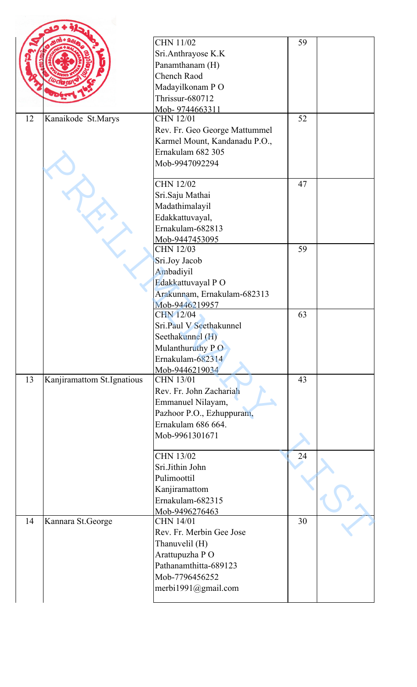|    |                            | <b>CHN 11/02</b>              | 59 |  |
|----|----------------------------|-------------------------------|----|--|
|    |                            | Sri.Anthrayose K.K            |    |  |
|    |                            |                               |    |  |
|    |                            | Panamthanam (H)               |    |  |
|    |                            | Chench Raod                   |    |  |
|    |                            | Madayilkonam PO               |    |  |
|    |                            | Thrissur-680712               |    |  |
|    |                            | Mob-9744663311                | 52 |  |
| 12 | Kanaikode St.Marys         | <b>CHN 12/01</b>              |    |  |
|    |                            | Rev. Fr. Geo George Mattummel |    |  |
|    |                            | Karmel Mount, Kandanadu P.O., |    |  |
|    |                            | Ernakulam 682 305             |    |  |
|    |                            | Mob-9947092294                |    |  |
|    |                            | <b>CHN 12/02</b>              | 47 |  |
|    |                            | Sri.Saju Mathai               |    |  |
|    |                            | Madathimalayil                |    |  |
|    |                            | Edakkattuvayal,               |    |  |
|    |                            | Ernakulam-682813              |    |  |
|    |                            | Mob-9447453095                |    |  |
|    |                            | <b>CHN 12/03</b>              | 59 |  |
|    |                            | Sri.Joy Jacob                 |    |  |
|    |                            | Ambadiyil                     |    |  |
|    |                            | Edakkattuvayal PO             |    |  |
|    |                            | Arakunnam, Ernakulam-682313   |    |  |
|    |                            | Mob-9446219957                |    |  |
|    |                            | <b>CHN 12/04</b>              | 63 |  |
|    |                            | Sri.Paul V Seethakunnel       |    |  |
|    |                            | Seethakunnel (H)              |    |  |
|    |                            | Mulanthuruthy PO              |    |  |
|    |                            | Ernakulam-682314              |    |  |
|    |                            | Mob-9446219034                |    |  |
| 13 | Kanjiramattom St.Ignatious | <b>CHN 13/01</b>              | 43 |  |
|    |                            | Rev. Fr. John Zachariah       |    |  |
|    |                            | Emmanuel Nilayam,             |    |  |
|    |                            | Pazhoor P.O., Ezhuppuram,     |    |  |
|    |                            | Ernakulam 686 664.            |    |  |
|    |                            | Mob-9961301671                |    |  |
|    |                            |                               |    |  |
|    |                            | <b>CHN 13/02</b>              | 24 |  |
|    |                            | Sri.Jithin John               |    |  |
|    |                            | Pulimoottil                   |    |  |
|    |                            | Kanjiramattom                 |    |  |
|    |                            | Ernakulam-682315              |    |  |
|    |                            | Mob-9496276463                |    |  |
| 14 | Kannara St.George          | <b>CHN 14/01</b>              | 30 |  |
|    |                            | Rev. Fr. Merbin Gee Jose      |    |  |
|    |                            | Thanuvelil (H)                |    |  |
|    |                            | Arattupuzha PO                |    |  |
|    |                            | Pathanamthitta-689123         |    |  |
|    |                            | Mob-7796456252                |    |  |
|    |                            | merbi1991@gmail.com           |    |  |
|    |                            |                               |    |  |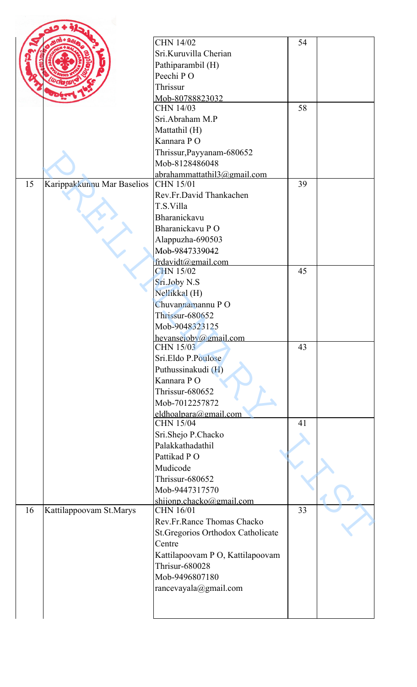|    |                            | <b>CHN 14/02</b>                   | 54 |  |
|----|----------------------------|------------------------------------|----|--|
|    |                            | Sri.Kuruvilla Cherian              |    |  |
|    |                            | Pathiparambil (H)                  |    |  |
|    |                            | Peechi PO                          |    |  |
|    |                            | Thrissur                           |    |  |
|    |                            | Mob-80788823032                    |    |  |
|    |                            | <b>CHN 14/03</b>                   | 58 |  |
|    |                            | Sri.Abraham M.P                    |    |  |
|    |                            |                                    |    |  |
|    |                            | Mattathil (H)                      |    |  |
|    |                            | Kannara PO                         |    |  |
|    |                            | Thrissur, Payyanam-680652          |    |  |
|    |                            | Mob-8128486048                     |    |  |
|    |                            | abrahammattathil3@gmail.com        |    |  |
| 15 | Karippakkunnu Mar Baselios | <b>CHN 15/01</b>                   | 39 |  |
|    |                            | Rev.Fr.David Thankachen            |    |  |
|    |                            | T.S.Villa                          |    |  |
|    |                            | Bharanickavu                       |    |  |
|    |                            | Bharanickavu PO                    |    |  |
|    |                            | Alappuzha-690503                   |    |  |
|    |                            | Mob-9847339042                     |    |  |
|    |                            | frdavidt@gmail.com                 |    |  |
|    |                            | <b>CHN 15/02</b>                   | 45 |  |
|    |                            | Sri.Joby N.S                       |    |  |
|    |                            | Nellikkal (H)                      |    |  |
|    |                            | Chuvannamannu PO                   |    |  |
|    |                            | Thrissur-680652                    |    |  |
|    |                            | Mob-9048323125                     |    |  |
|    |                            | hevanscioby@gmail.com              |    |  |
|    |                            | CHN 15/03                          | 43 |  |
|    |                            | Sri.Eldo P.Poulose                 |    |  |
|    |                            | Puthussinakudi (H)                 |    |  |
|    |                            | Kannara PO                         |    |  |
|    |                            | <b>Thrissur-680652</b>             |    |  |
|    |                            |                                    |    |  |
|    |                            | Mob-7012257872                     |    |  |
|    |                            | eldhoalpara@gmail.com              |    |  |
|    |                            | <b>CHN 15/04</b>                   | 41 |  |
|    |                            | Sri.Shejo P.Chacko                 |    |  |
|    |                            | Palakkathadathil                   |    |  |
|    |                            | Pattikad PO                        |    |  |
|    |                            | Mudicode                           |    |  |
|    |                            | <b>Thrissur-680652</b>             |    |  |
|    |                            | Mob-9447317570                     |    |  |
|    |                            | shijonp.chacko@gmail.com           |    |  |
| 16 | Kattilappoovam St.Marys    | CHN 16/01                          | 33 |  |
|    |                            | Rev.Fr.Rance Thomas Chacko         |    |  |
|    |                            | St. Gregorios Orthodox Catholicate |    |  |
|    |                            | Centre                             |    |  |
|    |                            | Kattilapoovam P O, Kattilapoovam   |    |  |
|    |                            | <b>Thrisur-680028</b>              |    |  |
|    |                            | Mob-9496807180                     |    |  |
|    |                            | rancevayala@gmail.com              |    |  |
|    |                            |                                    |    |  |
|    |                            |                                    |    |  |
|    |                            |                                    |    |  |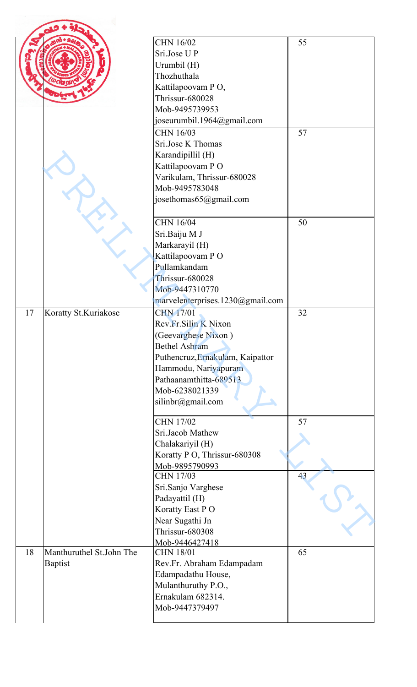|    |                          | <b>CHN 16/02</b>                   | 55 |  |
|----|--------------------------|------------------------------------|----|--|
|    |                          | Sri.Jose U P                       |    |  |
|    |                          | Urumbil (H)                        |    |  |
|    |                          | Thozhuthala                        |    |  |
|    |                          | Kattilapoovam PO,                  |    |  |
|    |                          | Thrissur-680028                    |    |  |
|    |                          | Mob-9495739953                     |    |  |
|    |                          | joseurumbil.1964@gmail.com         |    |  |
|    |                          | CHN 16/03                          | 57 |  |
|    |                          | Sri.Jose K Thomas                  |    |  |
|    |                          | Karandipillil (H)                  |    |  |
|    |                          | Kattilapoovam PO                   |    |  |
|    |                          | Varikulam, Thrissur-680028         |    |  |
|    |                          | Mob-9495783048                     |    |  |
|    |                          | josethomas65@gmail.com             |    |  |
|    |                          | <b>CHN 16/04</b>                   | 50 |  |
|    |                          | Sri.Baiju M J                      |    |  |
|    |                          | Markarayil (H)                     |    |  |
|    |                          | Kattilapoovam PO                   |    |  |
|    |                          | Pullamkandam                       |    |  |
|    |                          | <b>Thrissur-680028</b>             |    |  |
|    |                          | Mob-9447310770                     |    |  |
|    |                          | marvelenterprises.1230@gmail.com   |    |  |
| 17 | Koratty St.Kuriakose     | <b>CHN 17/01</b>                   | 32 |  |
|    |                          | Rev.Fr.Silin K Nixon               |    |  |
|    |                          | (Geevarghese Nixon)                |    |  |
|    |                          | <b>Bethel Ashram</b>               |    |  |
|    |                          | Puthencruz, Ernakulam, Kaipattor   |    |  |
|    |                          | Hammodu, Nariyapuram               |    |  |
|    |                          | Pathaanamthitta-689513             |    |  |
|    |                          | Mob-6238021339                     |    |  |
|    |                          | silinbr@gmail.com                  |    |  |
|    |                          | <b>CHN 17/02</b>                   | 57 |  |
|    |                          | Sri.Jacob Mathew                   |    |  |
|    |                          | Chalakariyil (H)                   |    |  |
|    |                          | Koratty P O, Thrissur-680308       |    |  |
|    |                          | Mob-9895790993                     |    |  |
|    |                          | <b>CHN 17/03</b>                   | 43 |  |
|    |                          | Sri.Sanjo Varghese                 |    |  |
|    |                          | Padayattil (H)                     |    |  |
|    |                          | Koratty East PO                    |    |  |
|    |                          | Near Sugathi Jn                    |    |  |
|    |                          | <b>Thrissur-680308</b>             |    |  |
| 18 | Manthuruthel St.John The | Mob-9446427418<br><b>CHN 18/01</b> | 65 |  |
|    |                          |                                    |    |  |
|    | <b>Baptist</b>           | Rev.Fr. Abraham Edampadam          |    |  |
|    |                          | Edampadathu House,                 |    |  |
|    |                          | Mulanthuruthy P.O.,                |    |  |
|    |                          | Ernakulam 682314.                  |    |  |
|    |                          | Mob-9447379497                     |    |  |
|    |                          |                                    |    |  |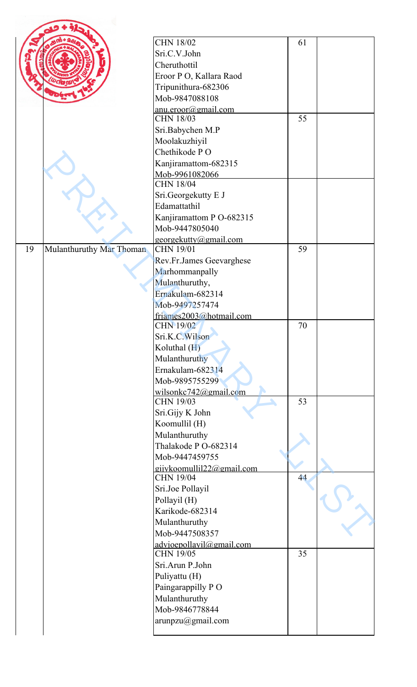| <b>CHN 18/02</b>                                   | 61 |  |
|----------------------------------------------------|----|--|
| Sri.C.V.John                                       |    |  |
| Cheruthottil                                       |    |  |
| Eroor P O, Kallara Raod                            |    |  |
| Tripunithura-682306                                |    |  |
| Mob-9847088108                                     |    |  |
| anu.eroor@gmail.com                                |    |  |
| <b>CHN 18/03</b>                                   | 55 |  |
| Sri.Babychen M.P                                   |    |  |
| Moolakuzhiyil                                      |    |  |
| Chethikode PO                                      |    |  |
| Kanjiramattom-682315                               |    |  |
| Mob-9961082066<br><b>CHN 18/04</b>                 |    |  |
| Sri.Georgekutty E J                                |    |  |
| Edamattathil                                       |    |  |
| Kanjiramattom P O-682315                           |    |  |
| Mob-9447805040                                     |    |  |
| georgekutty@gmail.com                              |    |  |
| Mulanthuruthy Mar Thoman<br><b>CHN 19/01</b><br>19 | 59 |  |
| Rev.Fr.James Geevarghese                           |    |  |
| Marhommanpally                                     |    |  |
| Mulanthuruthy,                                     |    |  |
| Ernakulam-682314                                   |    |  |
| Mob-9497257474                                     |    |  |
| friames2003@hotmail.com                            |    |  |
| CHN 19/02<br>Sri.K.C.Wilson                        | 70 |  |
| Koluthal $(H)$                                     |    |  |
| Mulanthuruthy                                      |    |  |
| Ernakulam-682314                                   |    |  |
| Mob-9895755299                                     |    |  |
| wilsonkc $742$ @gmail.com                          |    |  |
| <b>CHN 19/03</b>                                   | 53 |  |
| Sri.Gijy K John                                    |    |  |
| Koomullil (H)                                      |    |  |
| Mulanthuruthy                                      |    |  |
| Thalakode P O-682314                               |    |  |
| Mob-9447459755                                     |    |  |
| gijykoomullil22@gmail.com<br><b>CHN 19/04</b>      | 44 |  |
| Sri.Joe Pollayil                                   |    |  |
| Pollayil (H)                                       |    |  |
| Karikode-682314                                    |    |  |
| Mulanthuruthy                                      |    |  |
| Mob-9447508357                                     |    |  |
| advioepollavil@gmail.com                           |    |  |
| <b>CHN 19/05</b>                                   | 35 |  |
| Sri.Arun P.John                                    |    |  |
| Puliyattu (H)                                      |    |  |
| Paingarappilly PO                                  |    |  |
| Mulanthuruthy<br>Mob-9846778844                    |    |  |
| arunpzu@gmail.com                                  |    |  |
|                                                    |    |  |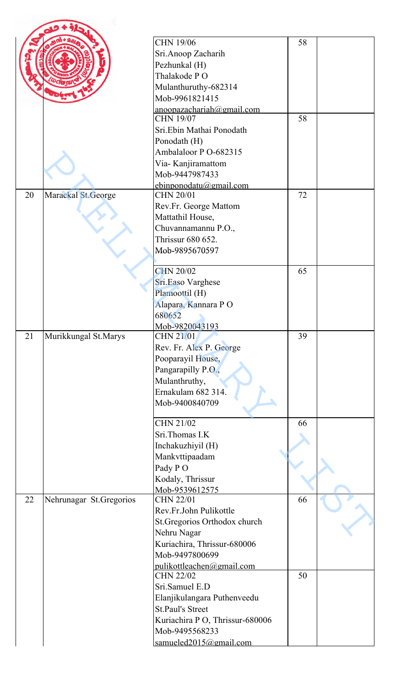|    |                         | <b>CHN 19/06</b>                              | 58 |  |
|----|-------------------------|-----------------------------------------------|----|--|
|    |                         | Sri.Anoop Zacharih                            |    |  |
|    |                         | Pezhunkal (H)                                 |    |  |
|    |                         | Thalakode PO                                  |    |  |
|    |                         | Mulanthuruthy-682314                          |    |  |
|    |                         | Mob-9961821415                                |    |  |
|    |                         | anoopazachariah@gmail.com<br><b>CHN 19/07</b> | 58 |  |
|    |                         | Sri.Ebin Mathai Ponodath                      |    |  |
|    |                         | Ponodath (H)                                  |    |  |
|    |                         | Ambalaloor P O-682315                         |    |  |
|    |                         | Via-Kanjiramattom                             |    |  |
|    |                         | Mob-9447987433                                |    |  |
|    |                         | ebinponodatu@gmail.com                        |    |  |
| 20 | Marackal St. George     | CHN 20/01                                     | 72 |  |
|    |                         | Rev.Fr. George Mattom                         |    |  |
|    |                         | Mattathil House,                              |    |  |
|    |                         | Chuvannamannu P.O.,                           |    |  |
|    |                         | Thrissur 680 652.                             |    |  |
|    |                         | Mob-9895670597                                |    |  |
|    |                         |                                               |    |  |
|    |                         | <b>CHN 20/02</b>                              | 65 |  |
|    |                         | Sri.Easo Varghese                             |    |  |
|    |                         | Plamoottil (H)<br>Alapara, Kannara PO         |    |  |
|    |                         | 680652                                        |    |  |
|    |                         | Mob-9820043193                                |    |  |
| 21 | Murikkungal St.Marys    | <b>CHN 21/01</b>                              | 39 |  |
|    |                         | Rev. Fr. Alex P. George                       |    |  |
|    |                         | Pooparayil House,                             |    |  |
|    |                         | Pangarapilly P.O.,                            |    |  |
|    |                         | Mulanthruthy,                                 |    |  |
|    |                         | Ernakulam 682 314.                            |    |  |
|    |                         | Mob-9400840709                                |    |  |
|    |                         |                                               |    |  |
|    |                         | CHN 21/02                                     | 66 |  |
|    |                         | Sri.Thomas I.K                                |    |  |
|    |                         | Inchakuzhiyil (H)                             |    |  |
|    |                         | Mankvttipaadam<br>Pady PO                     |    |  |
|    |                         | Kodaly, Thrissur                              |    |  |
|    |                         | Mob-9539612575                                |    |  |
| 22 | Nehrunagar St.Gregorios | <b>CHN 22/01</b>                              | 66 |  |
|    |                         | Rev.Fr.John Pulikottle                        |    |  |
|    |                         | St.Gregorios Orthodox church                  |    |  |
|    |                         | Nehru Nagar                                   |    |  |
|    |                         | Kuriachira, Thrissur-680006                   |    |  |
|    |                         | Mob-9497800699                                |    |  |
|    |                         | pulikottleachen@gmail.com                     |    |  |
|    |                         | <b>CHN 22/02</b>                              | 50 |  |
|    |                         | Sri.Samuel E.D                                |    |  |
|    |                         | Elanjikulangara Puthenveedu                   |    |  |
|    |                         | <b>St.Paul's Street</b>                       |    |  |
|    |                         | Kuriachira P O, Thrissur-680006               |    |  |
|    |                         | Mob-9495568233                                |    |  |
|    |                         | samueled2015@gmail.com                        |    |  |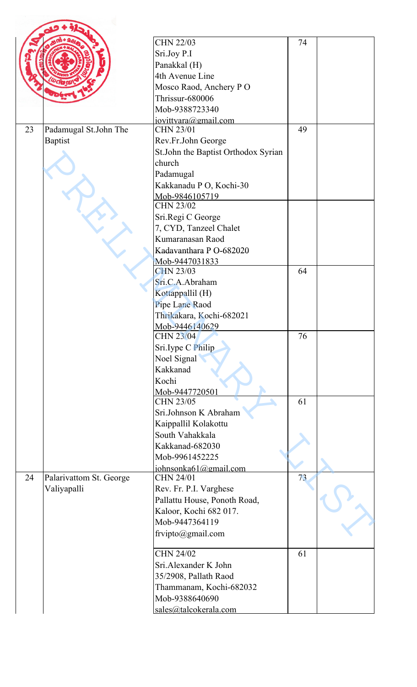|    |                         | <b>CHN 22/03</b>                    | 74 |  |
|----|-------------------------|-------------------------------------|----|--|
|    |                         | Sri.Joy P.I                         |    |  |
|    |                         | Panakkal (H)                        |    |  |
|    |                         | 4th Avenue Line                     |    |  |
|    |                         | Mosco Raod, Anchery PO              |    |  |
|    |                         | Thrissur-680006                     |    |  |
|    |                         | Mob-9388723340                      |    |  |
| 23 | Padamugal St.John The   | jovittyara@gmail.com<br>CHN 23/01   | 49 |  |
|    | <b>Baptist</b>          | Rev.Fr.John George                  |    |  |
|    |                         | St.John the Baptist Orthodox Syrian |    |  |
|    |                         | church                              |    |  |
|    |                         | Padamugal                           |    |  |
|    |                         |                                     |    |  |
|    |                         | Kakkanadu P O, Kochi-30             |    |  |
|    |                         | Mob-9846105719<br><b>CHN 23/02</b>  |    |  |
|    |                         | Sri.Regi C George                   |    |  |
|    |                         | 7, CYD, Tanzeel Chalet              |    |  |
|    |                         | Kumaranasan Raod                    |    |  |
|    |                         | Kadavanthara P O-682020             |    |  |
|    |                         | Mob-9447031833                      |    |  |
|    |                         | <b>CHN 23/03</b>                    | 64 |  |
|    |                         | Sri.C.A.Abraham                     |    |  |
|    |                         | Kottappallil (H)                    |    |  |
|    |                         | Pipe Lane Raod                      |    |  |
|    |                         | Thrikakara, Kochi-682021            |    |  |
|    |                         | Mob-9446140629                      |    |  |
|    |                         | <b>CHN 23/04</b>                    | 76 |  |
|    |                         | Sri.Iype C Philip                   |    |  |
|    |                         | Noel Signal                         |    |  |
|    |                         | Kakkanad                            |    |  |
|    |                         | Kochi                               |    |  |
|    |                         | Mob-9447720501                      |    |  |
|    |                         | <b>CHN 23/05</b>                    | 61 |  |
|    |                         | Sri.Johnson K Abraham               |    |  |
|    |                         | Kaippallil Kolakottu                |    |  |
|    |                         | South Vahakkala                     |    |  |
|    |                         | Kakkanad-682030                     |    |  |
|    |                         | Mob-9961452225                      |    |  |
| 24 | Palarivattom St. George | johnsonka61@gmail.com<br>CHN 24/01  | 73 |  |
|    | Valiyapalli             | Rev. Fr. P.I. Varghese              |    |  |
|    |                         | Pallattu House, Ponoth Road,        |    |  |
|    |                         | Kaloor, Kochi 682 017.              |    |  |
|    |                         | Mob-9447364119                      |    |  |
|    |                         | frvipto@gmail.com                   |    |  |
|    |                         |                                     |    |  |
|    |                         | <b>CHN 24/02</b>                    | 61 |  |
|    |                         | Sri.Alexander K John                |    |  |
|    |                         | 35/2908, Pallath Raod               |    |  |
|    |                         | Thammanam, Kochi-682032             |    |  |
|    |                         | Mob-9388640690                      |    |  |
|    |                         | sales@talcokerala.com               |    |  |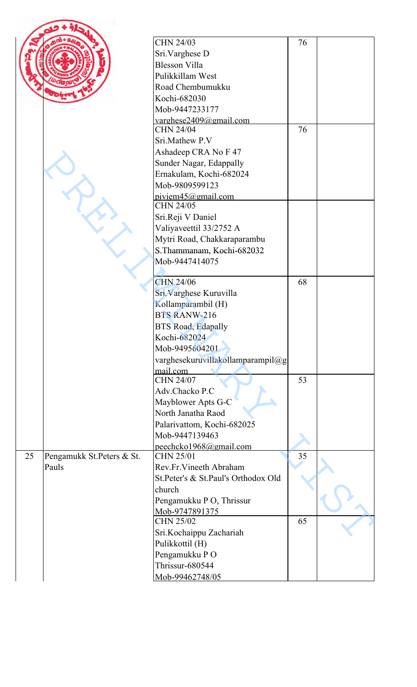|    |                           | <b>CHN 24/03</b>                            | 76 |  |
|----|---------------------------|---------------------------------------------|----|--|
|    |                           | Sri.Varghese D                              |    |  |
|    |                           | <b>Blesson Villa</b>                        |    |  |
|    |                           | Pulikkillam West                            |    |  |
|    |                           | Road Chembumukku                            |    |  |
|    |                           | Kochi-682030                                |    |  |
|    |                           | Mob-9447233177                              |    |  |
|    |                           | varghese2409@gmail.com                      |    |  |
|    |                           | <b>CHN 24/04</b>                            | 76 |  |
|    |                           | Sri.Mathew P.V                              |    |  |
|    |                           | Ashadeep CRA No F 47                        |    |  |
|    |                           | Sunder Nagar, Edappally                     |    |  |
|    |                           | Ernakulam, Kochi-682024                     |    |  |
|    |                           | Mob-9809599123                              |    |  |
|    |                           | piviem45@gmail.com<br><b>CHN 24/05</b>      |    |  |
|    |                           | Sri.Reji V Daniel                           |    |  |
|    |                           | Valiyaveettil 33/2752 A                     |    |  |
|    |                           |                                             |    |  |
|    |                           | Mytri Road, Chakkaraparambu                 |    |  |
|    |                           | S.Thammanam, Kochi-682032<br>Mob-9447414075 |    |  |
|    |                           |                                             |    |  |
|    |                           | CHN 24/06                                   | 68 |  |
|    |                           | Sri. Varghese Kuruvilla                     |    |  |
|    |                           | Kollamparambil (H)                          |    |  |
|    |                           | <b>BTS RANW-216</b>                         |    |  |
|    |                           | <b>BTS Road, Edapally</b>                   |    |  |
|    |                           | Kochi-682024                                |    |  |
|    |                           | Mob-9495604201                              |    |  |
|    |                           | varghesekuruvillakollamparampil@g           |    |  |
|    |                           | mail.com                                    |    |  |
|    |                           | <b>CHN 24/07</b>                            | 53 |  |
|    |                           | Adv.Chacko P.C                              |    |  |
|    |                           | Mayblower Apts G-C                          |    |  |
|    |                           | North Janatha Raod                          |    |  |
|    |                           | Palarivattom, Kochi-682025                  |    |  |
|    |                           | Mob-9447139463                              |    |  |
|    |                           | peechcko1968@gmail.com                      |    |  |
| 25 | Pengamukk St.Peters & St. | <b>CHN 25/01</b>                            | 35 |  |
|    | Pauls                     | Rev.Fr.Vineeth Abraham                      |    |  |
|    |                           | St.Peter's & St.Paul's Orthodox Old         |    |  |
|    |                           | church                                      |    |  |
|    |                           | Pengamukku P O, Thrissur                    |    |  |
|    |                           | Mob-9747891375                              |    |  |
|    |                           | <b>CHN 25/02</b>                            | 65 |  |
|    |                           | Sri.Kochaippu Zachariah                     |    |  |
|    |                           | Pulikkottil (H)                             |    |  |
|    |                           | Pengamukku PO                               |    |  |
|    |                           | Thrissur-680544                             |    |  |
|    |                           | Mob-99462748/05                             |    |  |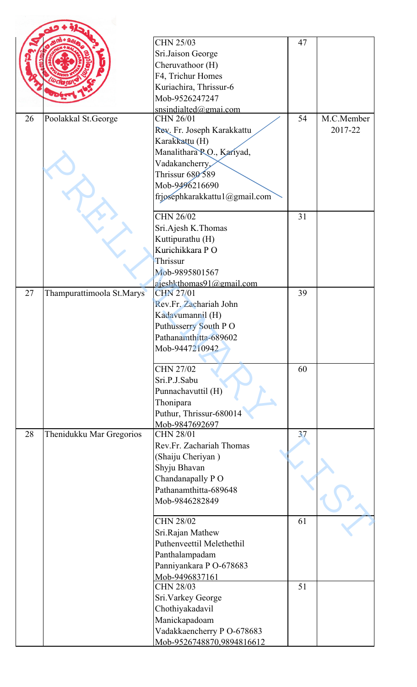|    |                           | <b>CHN 25/03</b>                   | 47 |            |
|----|---------------------------|------------------------------------|----|------------|
|    |                           |                                    |    |            |
|    |                           | Sri.Jaison George                  |    |            |
|    |                           | Cheruvathoor (H)                   |    |            |
|    |                           | F4, Trichur Homes                  |    |            |
|    |                           | Kuriachira, Thrissur-6             |    |            |
|    |                           | Mob-9526247247                     |    |            |
| 26 |                           | snsindialted@gmai.com<br>CHN 26/01 | 54 | M.C.Member |
|    | Poolakkal St.George       |                                    |    |            |
|    |                           | Rev. Fr. Joseph Karakkattu         |    | 2017-22    |
|    |                           | Karakkattu (H)                     |    |            |
|    |                           | Manalithara P.O., Kariyad,         |    |            |
|    |                           | Vadakancherry,                     |    |            |
|    |                           | Thrissur 680 589                   |    |            |
|    |                           | Mob-9496216690                     |    |            |
|    |                           | frjosephkarakkattu1@gmail.com      |    |            |
|    |                           | CHN 26/02                          | 31 |            |
|    |                           | Sri.Ajesh K.Thomas                 |    |            |
|    |                           | Kuttipurathu (H)                   |    |            |
|    |                           | Kurichikkara PO                    |    |            |
|    |                           | Thrissur                           |    |            |
|    |                           | Mob-9895801567                     |    |            |
|    |                           | ajeshkthomas91@gmail.com           |    |            |
| 27 | Thampurattimoola St.Marys | <b>CHN 27/01</b>                   | 39 |            |
|    |                           | Rev.Fr. Zachariah John             |    |            |
|    |                           | Kadavumannil (H)                   |    |            |
|    |                           | Puthusserry South PO               |    |            |
|    |                           | Pathanamthitta-689602              |    |            |
|    |                           | Mob-9447210942                     |    |            |
|    |                           |                                    |    |            |
|    |                           | <b>CHN 27/02</b>                   | 60 |            |
|    |                           | Sri.P.J.Sabu                       |    |            |
|    |                           | Punnachavuttil (H)                 |    |            |
|    |                           | Thonipara                          |    |            |
|    |                           | Puthur, Thrissur-680014            |    |            |
|    |                           | Mob-9847692697                     |    |            |
| 28 | Thenidukku Mar Gregorios  | <b>CHN 28/01</b>                   | 37 |            |
|    |                           | Rev.Fr. Zachariah Thomas           |    |            |
|    |                           | (Shaiju Cheriyan)                  |    |            |
|    |                           | Shyju Bhavan                       |    |            |
|    |                           | Chandanapally PO                   |    |            |
|    |                           | Pathanamthitta-689648              |    |            |
|    |                           | Mob-9846282849                     |    |            |
|    |                           |                                    |    |            |
|    |                           | <b>CHN 28/02</b>                   | 61 |            |
|    |                           | Sri.Rajan Mathew                   |    |            |
|    |                           | Puthenveettil Melethethil          |    |            |
|    |                           | Panthalampadam                     |    |            |
|    |                           | Panniyankara P O-678683            |    |            |
|    |                           | Mob-9496837161                     |    |            |
|    |                           | <b>CHN 28/03</b>                   | 51 |            |
|    |                           | Sri. Varkey George                 |    |            |
|    |                           | Chothiyakadavil                    |    |            |
|    |                           | Manickapadoam                      |    |            |
|    |                           | Vadakkaencherry P O-678683         |    |            |
|    |                           | Mob-9526748870,9894816612          |    |            |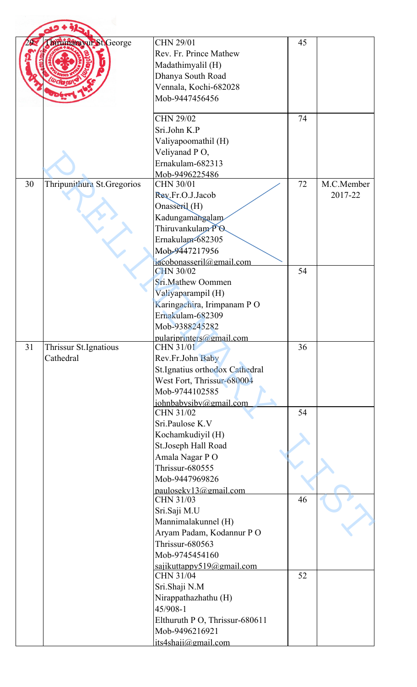|    | Thrumara wir St George     | <b>CHN 29/01</b>                             | 45 |            |
|----|----------------------------|----------------------------------------------|----|------------|
|    |                            | Rev. Fr. Prince Mathew                       |    |            |
|    |                            | Madathimyalil (H)                            |    |            |
|    |                            | Dhanya South Road                            |    |            |
|    |                            | Vennala, Kochi-682028                        |    |            |
|    |                            | Mob-9447456456                               |    |            |
|    |                            |                                              |    |            |
|    |                            | <b>CHN 29/02</b>                             | 74 |            |
|    |                            | Sri.John K.P                                 |    |            |
|    |                            | Valiyapoomathil (H)                          |    |            |
|    |                            | Veliyanad PO,                                |    |            |
|    |                            | Ernakulam-682313                             |    |            |
| 30 | Thripunithura St.Gregorios | Mob-9496225486<br>CHN 30/01                  | 72 | M.C.Member |
|    |                            | Rev.Fr.O.J.Jacob                             |    | 2017-22    |
|    |                            | Onasseril (H)                                |    |            |
|    |                            | Kadungamangalam                              |    |            |
|    |                            | Thiruvankulam PO                             |    |            |
|    |                            | Ernakulam-682305                             |    |            |
|    |                            | Mob-9447217956                               |    |            |
|    |                            | jacobonasseril@gmail.com                     |    |            |
|    |                            | <b>CHN 30/02</b>                             | 54 |            |
|    |                            | Sri.Mathew Oommen                            |    |            |
|    |                            | Valiyaparampil (H)                           |    |            |
|    |                            | Karingachira, Irimpanam PO                   |    |            |
|    |                            | Ernakulam-682309                             |    |            |
|    |                            | Mob-9388245282                               |    |            |
| 31 | Thrissur St.Ignatious      | pulariprinters@gmail.com<br><b>CHN 31/01</b> | 36 |            |
|    | Cathedral                  | Rev.Fr.John Baby                             |    |            |
|    |                            | St.Ignatius orthodox Cathedral               |    |            |
|    |                            | West Fort, Thrissur-680004                   |    |            |
|    |                            | Mob-9744102585                               |    |            |
|    |                            | johnbabysiby@gmail.com                       |    |            |
|    |                            | <b>CHN 31/02</b>                             | 54 |            |
|    |                            | Sri.Paulose K.V                              |    |            |
|    |                            | Kochamkudiyil (H)                            |    |            |
|    |                            | St.Joseph Hall Road                          |    |            |
|    |                            | Amala Nagar PO                               |    |            |
|    |                            | <b>Thrissur-680555</b>                       |    |            |
|    |                            | Mob-9447969826                               |    |            |
|    |                            | paulosekv13@gmail.com<br>CHN 31/03           | 46 |            |
|    |                            | Sri.Saji M.U                                 |    |            |
|    |                            | Mannimalakunnel (H)                          |    |            |
|    |                            | Aryam Padam, Kodannur PO                     |    |            |
|    |                            | <b>Thrissur-680563</b>                       |    |            |
|    |                            | Mob-9745454160                               |    |            |
|    |                            | sajikuttappy519@gmail.com<br>CHN 31/04       | 52 |            |
|    |                            | Sri.Shaji N.M                                |    |            |
|    |                            | Nirappathazhathu (H)                         |    |            |
|    |                            | 45/908-1                                     |    |            |
|    |                            | Elthuruth P O, Thrissur-680611               |    |            |
|    |                            | Mob-9496216921                               |    |            |
|    |                            | its4shaji@gmail.com                          |    |            |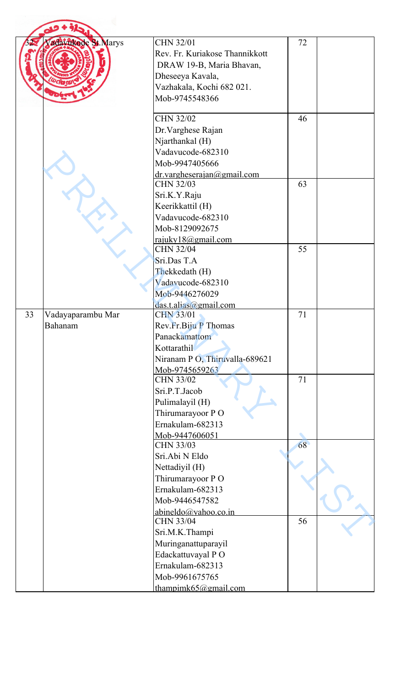|    | adavistode St. Marys         | <b>CHN 32/01</b><br>Rev. Fr. Kuriakose Thannikkott<br>DRAW 19-B, Maria Bhavan,<br>Dheseeya Kavala,<br>Vazhakala, Kochi 682 021.<br>Mob-9745548366 | 72 |  |
|----|------------------------------|---------------------------------------------------------------------------------------------------------------------------------------------------|----|--|
|    |                              | <b>CHN 32/02</b><br>Dr. Varghese Rajan<br>Njarthankal (H)<br>Vadavucode-682310<br>Mob-9947405666<br>dr.vargheserajan@gmail.com                    | 46 |  |
|    |                              | <b>CHN 32/03</b><br>Sri.K.Y.Raju<br>Keerikkattil (H)<br>Vadavucode-682310<br>Mob-8129092675                                                       | 63 |  |
|    |                              | rajuky18@gmail.com<br><b>CHN 32/04</b><br>Sri.Das T.A<br>Thekkedath (H)<br>Vadavucode-682310<br>Mob-9446276029<br>das.t. alias@gmail.com          | 55 |  |
| 33 | Vadayaparambu Mar<br>Bahanam | <b>CHN 33/01</b><br>Rev.Fr.Biju P Thomas<br>Panackamattom<br>Kottarathil<br>Niranam P O, Thiruvalla-689621<br>Mob-9745659263                      | 71 |  |
|    |                              | CHN 33/02<br>Sri.P.T.Jacob<br>Pulimalayil (H)<br>Thirumarayoor PO<br>Ernakulam-682313                                                             | 71 |  |
|    |                              | Mob-9447606051<br><b>CHN 33/03</b><br>Sri.Abi N Eldo<br>Nettadiyil (H)<br>Thirumarayoor PO<br>Ernakulam-682313<br>Mob-9446547582                  | 68 |  |
|    |                              | abineldo@yahoo.co.in<br><b>CHN 33/04</b><br>Sri.M.K.Thampi<br>Muringanattuparayil<br>Edackattuvayal PO<br>Ernakulam-682313                        | 56 |  |
|    |                              | Mob-9961675765<br>thampimk $65$ @gmail.com                                                                                                        |    |  |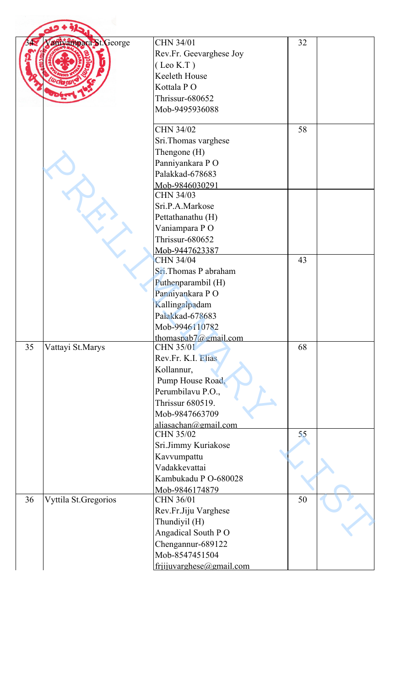|    |                       | <b>CHN 34/01</b>                         | 32 |  |
|----|-----------------------|------------------------------------------|----|--|
|    | aniyampara St. George | Rev.Fr. Geevarghese Joy                  |    |  |
|    |                       | $($ Leo K.T $)$                          |    |  |
|    |                       | Keeleth House                            |    |  |
|    |                       | Kottala PO                               |    |  |
|    |                       | Thrissur-680652                          |    |  |
|    |                       | Mob-9495936088                           |    |  |
|    |                       |                                          |    |  |
|    |                       | CHN 34/02                                | 58 |  |
|    |                       | Sri.Thomas varghese                      |    |  |
|    |                       | Thengone (H)                             |    |  |
|    |                       | Panniyankara PO                          |    |  |
|    |                       | Palakkad-678683                          |    |  |
|    |                       | Mob-9846030291                           |    |  |
|    |                       | <b>CHN 34/03</b>                         |    |  |
|    |                       | Sri.P.A.Markose                          |    |  |
|    |                       | Pettathanathu (H)                        |    |  |
|    |                       | Vaniampara PO                            |    |  |
|    |                       | Thrissur-680652                          |    |  |
|    |                       | Mob-9447623387<br>CHN 34/04              | 43 |  |
|    |                       | Sri.Thomas P abraham                     |    |  |
|    |                       | Puthenparambil (H)                       |    |  |
|    |                       | Panniyankara PO                          |    |  |
|    |                       | Kallingalpadam                           |    |  |
|    |                       | Palakkad-678683                          |    |  |
|    |                       | Mob-9946110782                           |    |  |
|    |                       | thomaspab $7@gmail.com$                  |    |  |
| 35 | Vattayi St.Marys      | <b>CHN 35/01</b>                         | 68 |  |
|    |                       | Rev.Fr. K.I. Elias                       |    |  |
|    |                       | Kollannur,                               |    |  |
|    |                       | Pump House Road,                         |    |  |
|    |                       | Perumbilavu P.O.,                        |    |  |
|    |                       | Thrissur 680519.                         |    |  |
|    |                       | Mob-9847663709                           |    |  |
|    |                       | aliasachan@gmail.com<br><b>CHN 35/02</b> | 55 |  |
|    |                       | Sri.Jimmy Kuriakose                      |    |  |
|    |                       | Kavvumpattu                              |    |  |
|    |                       | Vadakkevattai                            |    |  |
|    |                       | Kambukadu P O-680028                     |    |  |
|    |                       | Mob-9846174879                           |    |  |
| 36 | Vyttila St.Gregorios  | CHN 36/01                                | 50 |  |
|    |                       | Rev.Fr.Jiju Varghese                     |    |  |
|    |                       | Thundiyil (H)                            |    |  |
|    |                       | Angadical South PO                       |    |  |
|    |                       | Chengannur-689122                        |    |  |
|    |                       | Mob-8547451504                           |    |  |
|    |                       | frijuvarghese@gmail.com                  |    |  |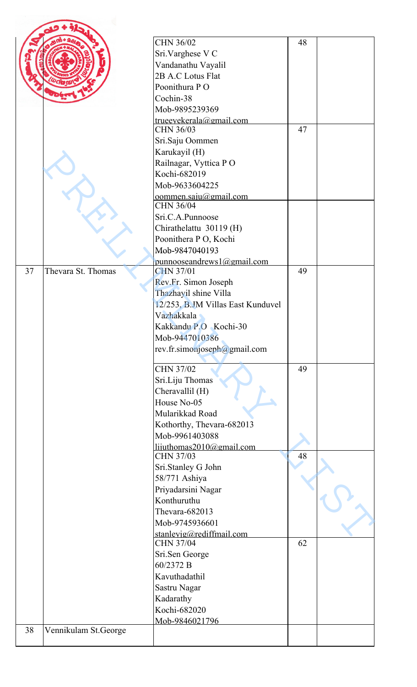|    |                      | CHN 36/02                                    | 48 |  |
|----|----------------------|----------------------------------------------|----|--|
|    |                      | Sri.Varghese V C                             |    |  |
|    |                      | Vandanathu Vayalil                           |    |  |
|    |                      | 2B A.C Lotus Flat                            |    |  |
|    |                      | Poonithura PO                                |    |  |
|    |                      | Cochin-38                                    |    |  |
|    |                      | Mob-9895239369                               |    |  |
|    |                      | trueeyekerala@gmail.com                      |    |  |
|    |                      | CHN 36/03                                    | 47 |  |
|    |                      | Sri.Saju Oommen                              |    |  |
|    |                      | Karukayil (H)                                |    |  |
|    |                      | Railnagar, Vyttica PO                        |    |  |
|    |                      | Kochi-682019                                 |    |  |
|    |                      | Mob-9633604225                               |    |  |
|    |                      | $common.\text{saju}(\hat{\omega})$ gmail.com |    |  |
|    |                      | CHN 36/04                                    |    |  |
|    |                      | Sri.C.A.Punnoose                             |    |  |
|    |                      | Chirathelattu 30119 (H)                      |    |  |
|    |                      | Poonithera P O, Kochi                        |    |  |
|    |                      | Mob-9847040193                               |    |  |
|    |                      | punnooseandrews $1$ @gmail.com               |    |  |
| 37 | Thevara St. Thomas   | <b>CHN 37/01</b>                             | 49 |  |
|    |                      | Rev.Fr. Simon Joseph                         |    |  |
|    |                      | Thazhayil shine Villa                        |    |  |
|    |                      | 12/253, B.JM Villas East Kunduvel            |    |  |
|    |                      | Vazhakkala                                   |    |  |
|    |                      | Kakkandu P.O Kochi-30                        |    |  |
|    |                      | Mob-9447010386                               |    |  |
|    |                      | rev.fr.simonjoseph@gmail.com                 |    |  |
|    |                      | <b>CHN 37/02</b>                             | 49 |  |
|    |                      | Sri.Liju Thomas                              |    |  |
|    |                      | Cheravallil (H)                              |    |  |
|    |                      | House No-05                                  |    |  |
|    |                      | Mularikkad Road                              |    |  |
|    |                      | Kothorthy, Thevara-682013                    |    |  |
|    |                      | Mob-9961403088                               |    |  |
|    |                      | lijuthomas2010@gmail.com                     |    |  |
|    |                      | <b>CHN 37/03</b>                             | 48 |  |
|    |                      | Sri.Stanley G John                           |    |  |
|    |                      | 58/771 Ashiya                                |    |  |
|    |                      | Priyadarsini Nagar                           |    |  |
|    |                      | Konthuruthu                                  |    |  |
|    |                      | Thevara-682013                               |    |  |
|    |                      | Mob-9745936601                               |    |  |
|    |                      | stanlevig@rediffmail.com                     |    |  |
|    |                      | <b>CHN 37/04</b>                             | 62 |  |
|    |                      | Sri.Sen George                               |    |  |
|    |                      | 60/2372 B                                    |    |  |
|    |                      | Kavuthadathil                                |    |  |
|    |                      | Sastru Nagar                                 |    |  |
|    |                      | Kadarathy                                    |    |  |
|    |                      | Kochi-682020                                 |    |  |
| 38 | Vennikulam St.George | Mob-9846021796                               |    |  |
|    |                      |                                              |    |  |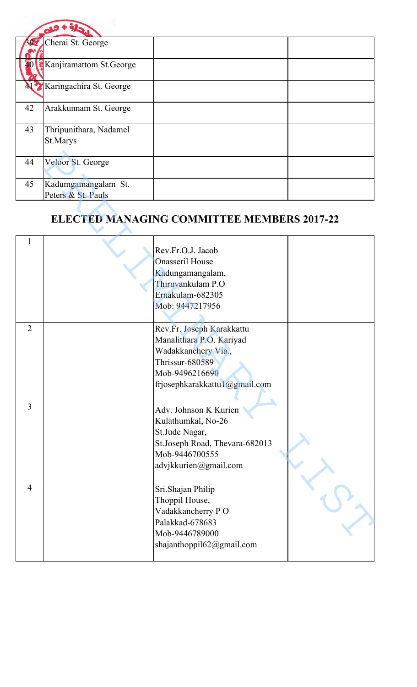|    | Cherai St. George        |  |  |
|----|--------------------------|--|--|
|    |                          |  |  |
|    | Kanjiramattom St. George |  |  |
|    | Karingachira St. George  |  |  |
| 42 | Arakkunnam St. George    |  |  |
| 43 | Thripunithara, Nadamel   |  |  |
|    | St.Marys                 |  |  |
|    |                          |  |  |
| 44 | Veloor St. George        |  |  |
|    |                          |  |  |
| 45 | Kadumgamangalam St.      |  |  |
|    | Peters & St. Pauls       |  |  |

## **ELECTED MANAGING COMMITTEE MEMBERS 2017-22**

| 44             | Veloor St. George   |                                                   |  |
|----------------|---------------------|---------------------------------------------------|--|
|                |                     |                                                   |  |
| 45             | Kadumgamangalam St. |                                                   |  |
|                | Peters & St. Pauls  |                                                   |  |
|                |                     |                                                   |  |
|                |                     | <b>ELECTED MANAGING COMMITTEE MEMBERS 2017-22</b> |  |
|                |                     |                                                   |  |
|                |                     |                                                   |  |
|                |                     | Rev.Fr.O.J. Jacob                                 |  |
|                |                     | <b>Onasseril House</b>                            |  |
|                |                     | Kadungamangalam,                                  |  |
|                |                     | Thiruvankulam P.O                                 |  |
|                |                     | Ernakulam-682305                                  |  |
|                |                     |                                                   |  |
|                |                     | Mob: 9447217956                                   |  |
|                |                     |                                                   |  |
| $\overline{2}$ |                     | Rev.Fr. Joseph Karakkattu                         |  |
|                |                     | Manalithara P.O. Kariyad                          |  |
|                |                     | Wadakkanchery Via.,                               |  |
|                |                     | Thrissur-680589                                   |  |
|                |                     | Mob-9496216690                                    |  |
|                |                     | frjosephkarakkattu1@gmail.com                     |  |
|                |                     |                                                   |  |
| $\overline{3}$ |                     | Adv. Johnson K Kurien                             |  |
|                |                     | Kulathumkal, No-26                                |  |
|                |                     | St.Jude Nagar,                                    |  |
|                |                     | St.Joseph Road, Thevara-682013                    |  |
|                |                     | Mob-9446700555                                    |  |
|                |                     | advjkkurien@gmail.com                             |  |
|                |                     |                                                   |  |
| $\overline{4}$ |                     | Sri.Shajan Philip                                 |  |
|                |                     | Thoppil House,                                    |  |
|                |                     |                                                   |  |
|                |                     | Vadakkancherry PO<br>Palakkad-678683              |  |
|                |                     |                                                   |  |
|                |                     | Mob-9446789000                                    |  |
|                |                     | shajanthoppil62@gmail.com                         |  |
|                |                     |                                                   |  |